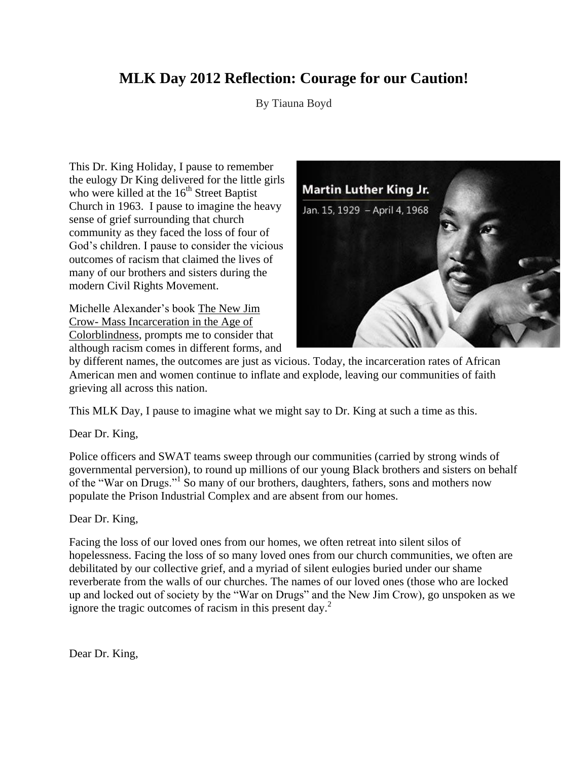## **MLK Day 2012 Reflection: Courage for our Caution!**

By Tiauna Boyd

This Dr. King Holiday, I pause to remember the eulogy Dr King delivered for the little girls who were killed at the  $16<sup>th</sup>$  Street Baptist Church in 1963. I pause to imagine the heavy sense of grief surrounding that church community as they faced the loss of four of God's children. I pause to consider the vicious outcomes of racism that claimed the lives of many of our brothers and sisters during the modern Civil Rights Movement.

Michelle Alexander's book The New Jim Crow- Mass Incarceration in the Age of Colorblindness, prompts me to consider that although racism comes in different forms, and



by different names, the outcomes are just as vicious. Today, the incarceration rates of African American men and women continue to inflate and explode, leaving our communities of faith grieving all across this nation.

This MLK Day, I pause to imagine what we might say to Dr. King at such a time as this.

Dear Dr. King,

Police officers and SWAT teams sweep through our communities (carried by strong winds of governmental perversion), to round up millions of our young Black brothers and sisters on behalf of the "War on Drugs."<sup>1</sup> So many of our brothers, daughters, fathers, sons and mothers now populate the Prison Industrial Complex and are absent from our homes.

## Dear Dr. King,

Facing the loss of our loved ones from our homes, we often retreat into silent silos of hopelessness. Facing the loss of so many loved ones from our church communities, we often are debilitated by our collective grief, and a myriad of silent eulogies buried under our shame reverberate from the walls of our churches. The names of our loved ones (those who are locked up and locked out of society by the "War on Drugs" and the New Jim Crow), go unspoken as we ignore the tragic outcomes of racism in this present day.<sup>2</sup>

Dear Dr. King,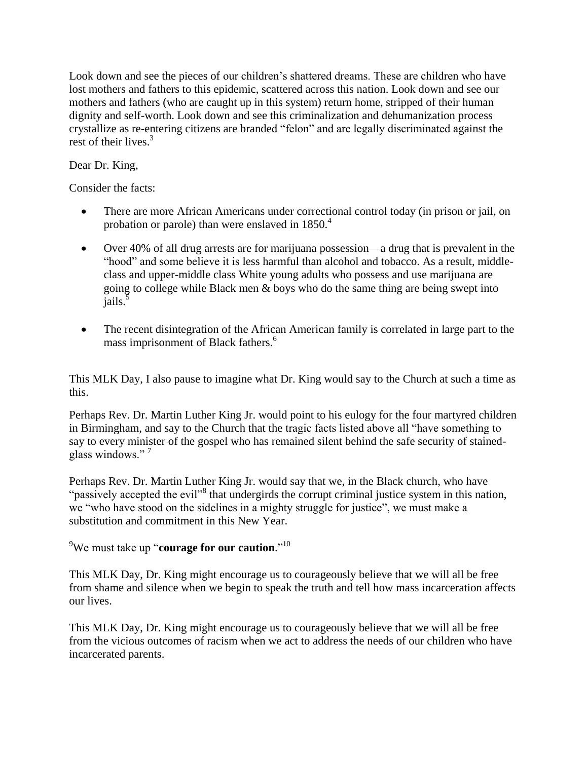Look down and see the pieces of our children's shattered dreams. These are children who have lost mothers and fathers to this epidemic, scattered across this nation. Look down and see our mothers and fathers (who are caught up in this system) return home, stripped of their human dignity and self-worth. Look down and see this criminalization and dehumanization process crystallize as re-entering citizens are branded "felon" and are legally discriminated against the rest of their lives.<sup>3</sup>

## Dear Dr. King,

Consider the facts:

- There are more African Americans under correctional control today (in prison or jail, on probation or parole) than were enslaved in  $1850<sup>4</sup>$
- Over 40% of all drug arrests are for marijuana possession—a drug that is prevalent in the "hood" and some believe it is less harmful than alcohol and tobacco. As a result, middleclass and upper-middle class White young adults who possess and use marijuana are going to college while Black men & boys who do the same thing are being swept into jails.<sup>5</sup>
- The recent disintegration of the African American family is correlated in large part to the mass imprisonment of Black fathers.<sup>6</sup>

This MLK Day, I also pause to imagine what Dr. King would say to the Church at such a time as this.

Perhaps Rev. Dr. Martin Luther King Jr. would point to his eulogy for the four martyred children in Birmingham, and say to the Church that the tragic facts listed above all "have something to say to every minister of the gospel who has remained silent behind the safe security of stainedglass windows." <sup>7</sup>

Perhaps Rev. Dr. Martin Luther King Jr. would say that we, in the Black church, who have "passively accepted the evil"<sup>8</sup> that undergirds the corrupt criminal justice system in this nation, we "who have stood on the sidelines in a mighty struggle for justice", we must make a substitution and commitment in this New Year.

<sup>9</sup>We must take up "**courage for our caution**." 10

This MLK Day, Dr. King might encourage us to courageously believe that we will all be free from shame and silence when we begin to speak the truth and tell how mass incarceration affects our lives.

This MLK Day, Dr. King might encourage us to courageously believe that we will all be free from the vicious outcomes of racism when we act to address the needs of our children who have incarcerated parents.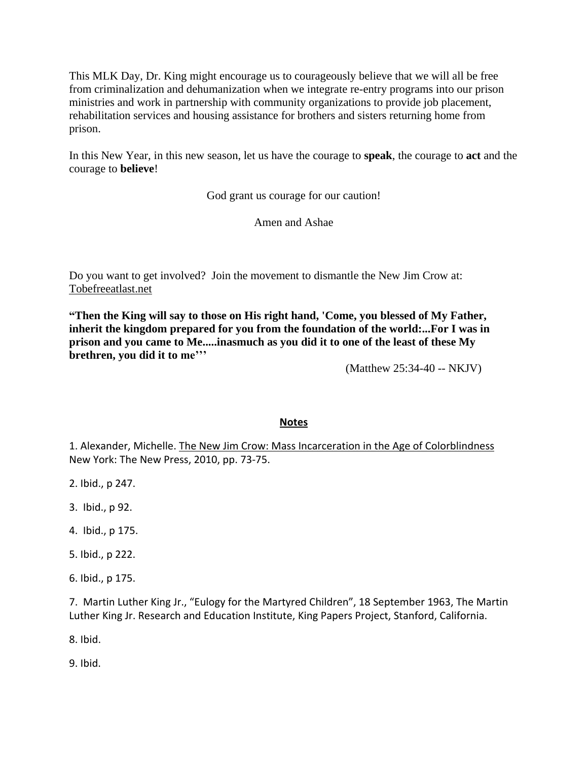This MLK Day, Dr. King might encourage us to courageously believe that we will all be free from criminalization and dehumanization when we integrate re-entry programs into our prison ministries and work in partnership with community organizations to provide job placement, rehabilitation services and housing assistance for brothers and sisters returning home from prison.

In this New Year, in this new season, let us have the courage to **speak**, the courage to **act** and the courage to **believe**!

God grant us courage for our caution!

Amen and Ashae

Do you want to get involved? Join the movement to dismantle the New Jim Crow at: Tobefreeatlast.net

**"Then the King will say to those on His right hand, 'Come, you blessed of My Father, inherit the kingdom prepared for you from the foundation of the world:...For I was in prison and you came to Me.....inasmuch as you did it to one of the least of these My brethren, you did it to me'''**

(Matthew 25:34-40 -- NKJV)

## **Notes**

1. Alexander, Michelle. The New Jim Crow: Mass Incarceration in the Age of Colorblindness New York: The New Press, 2010, pp. 73-75.

2. Ibid., p 247.

3. Ibid., p 92.

4. Ibid., p 175.

5. Ibid., p 222.

6. Ibid., p 175.

7. Martin Luther King Jr., "Eulogy for the Martyred Children", 18 September 1963, The Martin Luther King Jr. Research and Education Institute, King Papers Project, Stanford, California.

8. Ibid.

9. Ibid.